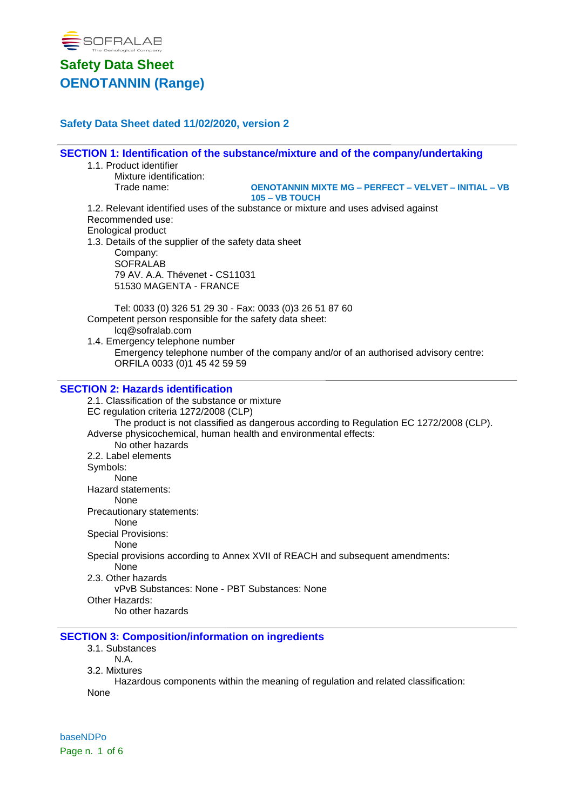

## **Safety Data Sheet dated 11/02/2020, version 2**

**SECTION 1: Identification of the substance/mixture and of the company/undertaking** 1.1. Product identifier Mixture identification: Trade name: **OENOTANNIN MIXTE MG – PERFECT – VELVET – INITIAL – VB 105 – VB TOUCH** 1.2. Relevant identified uses of the substance or mixture and uses advised against Recommended use: Enological product 1.3. Details of the supplier of the safety data sheet Company: **SOFRALAB** 79 AV. A.A. Thévenet - CS11031 51530 MAGENTA - FRANCE Tel: 0033 (0) 326 51 29 30 - Fax: 0033 (0)3 26 51 87 60 Competent person responsible for the safety data sheet: lcq@sofralab.com

1.4. Emergency telephone number Emergency telephone number of the company and/or of an authorised advisory centre: ORFILA 0033 (0)1 45 42 59 59

### **SECTION 2: Hazards identification**

2.1. Classification of the substance or mixture EC regulation criteria 1272/2008 (CLP) The product is not classified as dangerous according to Regulation EC 1272/2008 (CLP). Adverse physicochemical, human health and environmental effects: No other hazards 2.2. Label elements Symbols: None Hazard statements: None Precautionary statements: None Special Provisions: None Special provisions according to Annex XVII of REACH and subsequent amendments: None 2.3. Other hazards vPvB Substances: None - PBT Substances: None Other Hazards: No other hazards

### **SECTION 3: Composition/information on ingredients**

3.1. Substances

N.A.

3.2. Mixtures

Hazardous components within the meaning of regulation and related classification: None

baseNDPo Page n. 1 of 6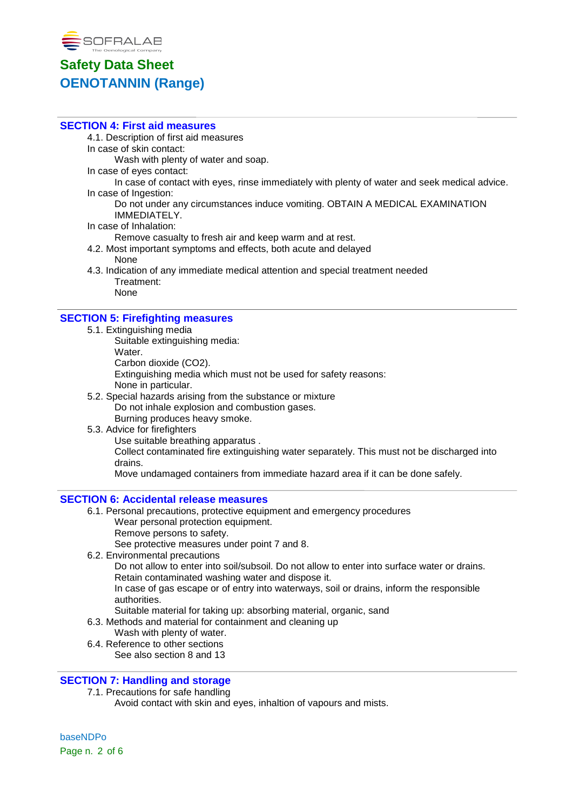

### **SECTION 4: First aid measures**

4.1. Description of first aid measures

In case of skin contact:

Wash with plenty of water and soap.

In case of eyes contact:

In case of contact with eyes, rinse immediately with plenty of water and seek medical advice. In case of Ingestion:

Do not under any circumstances induce vomiting. OBTAIN A MEDICAL EXAMINATION IMMEDIATELY.

In case of Inhalation:

Remove casualty to fresh air and keep warm and at rest.

- 4.2. Most important symptoms and effects, both acute and delayed None
- 4.3. Indication of any immediate medical attention and special treatment needed Treatment: None

### **SECTION 5: Firefighting measures**

- 5.1. Extinguishing media
	- Suitable extinguishing media:
	- Water.

Carbon dioxide (CO2).

Extinguishing media which must not be used for safety reasons: None in particular.

- 5.2. Special hazards arising from the substance or mixture Do not inhale explosion and combustion gases. Burning produces heavy smoke.
- 5.3. Advice for firefighters

Use suitable breathing apparatus .

Collect contaminated fire extinguishing water separately. This must not be discharged into drains.

Move undamaged containers from immediate hazard area if it can be done safely.

### **SECTION 6: Accidental release measures**

6.1. Personal precautions, protective equipment and emergency procedures Wear personal protection equipment. Remove persons to safety.

See protective measures under point 7 and 8.

6.2. Environmental precautions

Do not allow to enter into soil/subsoil. Do not allow to enter into surface water or drains. Retain contaminated washing water and dispose it.

In case of gas escape or of entry into waterways, soil or drains, inform the responsible authorities.

Suitable material for taking up: absorbing material, organic, sand

6.3. Methods and material for containment and cleaning up

- Wash with plenty of water.
- 6.4. Reference to other sections
	- See also section 8 and 13

### **SECTION 7: Handling and storage**

7.1. Precautions for safe handling

Avoid contact with skin and eyes, inhaltion of vapours and mists.

baseNDPo Page n. 2 of 6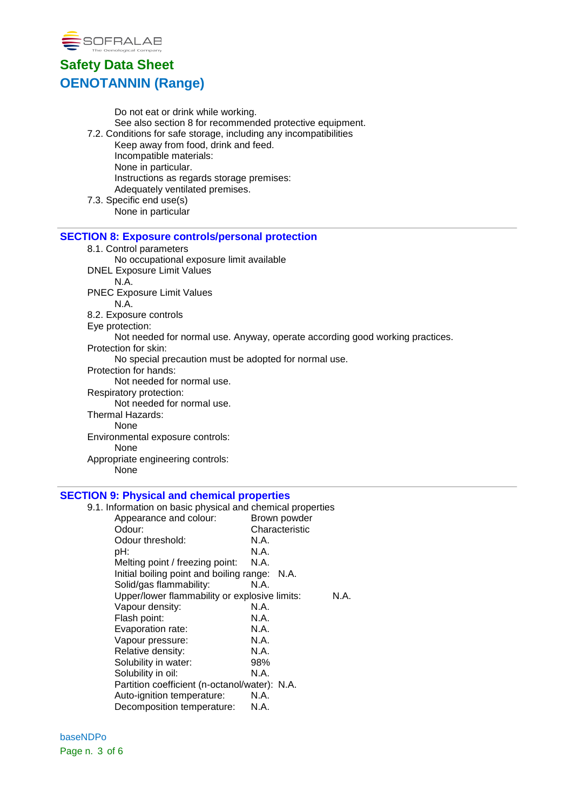

Do not eat or drink while working. See also section 8 for recommended protective equipment. 7.2. Conditions for safe storage, including any incompatibilities Keep away from food, drink and feed. Incompatible materials: None in particular. Instructions as regards storage premises: Adequately ventilated premises. 7.3. Specific end use(s) None in particular **SECTION 8: Exposure controls/personal protection** 8.1. Control parameters No occupational exposure limit available DNEL Exposure Limit Values N.A. PNEC Exposure Limit Values N.A. 8.2. Exposure controls Eye protection: Not needed for normal use. Anyway, operate according good working practices. Protection for skin: No special precaution must be adopted for normal use. Protection for hands: Not needed for normal use. Respiratory protection: Not needed for normal use. Thermal Hazards: None Environmental exposure controls: None Appropriate engineering controls: None

### **SECTION 9: Physical and chemical properties**

9.1. Information on basic physical and chemical properties

| mnomnation on basic priversal and chomnoal proportios |                |      |
|-------------------------------------------------------|----------------|------|
| Appearance and colour:                                | Brown powder   |      |
| Odour:                                                | Characteristic |      |
| Odour threshold:                                      | N.A.           |      |
| pH:                                                   | N.A.           |      |
| Melting point / freezing point:                       | N.A.           |      |
| Initial boiling point and boiling range: N.A.         |                |      |
| Solid/gas flammability:                               | N.A.           |      |
| Upper/lower flammability or explosive limits:         |                | N.A. |
| Vapour density:                                       | N.A.           |      |
| Flash point:                                          | N.A.           |      |
| Evaporation rate:                                     | N.A.           |      |
| Vapour pressure:                                      | N.A.           |      |
| Relative density:                                     | N.A.           |      |
| Solubility in water:                                  | 98%            |      |
| Solubility in oil:                                    | N.A.           |      |
| Partition coefficient (n-octanol/water): N.A.         |                |      |
| Auto-ignition temperature:                            | N.A.           |      |
| Decomposition temperature:                            | N.A.           |      |
|                                                       |                |      |

baseNDPo Page n. 3 of 6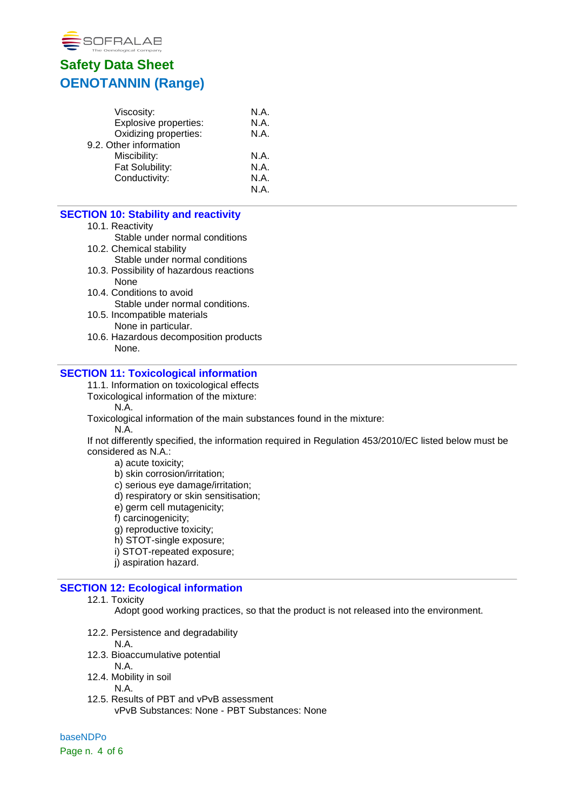

| Viscosity:             | N.A. |
|------------------------|------|
| Explosive properties:  | N.A. |
| Oxidizing properties:  | N.A. |
| 9.2. Other information |      |
| Miscibility:           | N.A. |
| Fat Solubility:        | N.A. |
| Conductivity:          | N.A. |
|                        | N A  |
|                        |      |

## **SECTION 10: Stability and reactivity**

- 10.1. Reactivity
- Stable under normal conditions
- 10.2. Chemical stability
	- Stable under normal conditions
- 10.3. Possibility of hazardous reactions None
- 10.4. Conditions to avoid Stable under normal conditions.
- 10.5. Incompatible materials None in particular.
- 10.6. Hazardous decomposition products None.

### **SECTION 11: Toxicological information**

- 11.1. Information on toxicological effects
- Toxicological information of the mixture:
	- N.A.
- Toxicological information of the main substances found in the mixture:
	- N.A.

If not differently specified, the information required in Regulation 453/2010/EC listed below must be considered as N.A.:

- a) acute toxicity;
- b) skin corrosion/irritation;
- c) serious eye damage/irritation;
- d) respiratory or skin sensitisation;
- e) germ cell mutagenicity;
- f) carcinogenicity;
- g) reproductive toxicity;
- h) STOT-single exposure;
- i) STOT-repeated exposure;
- j) aspiration hazard.

### **SECTION 12: Ecological information**

12.1. Toxicity

Adopt good working practices, so that the product is not released into the environment.

- 12.2. Persistence and degradability
- N.A.
- 12.3. Bioaccumulative potential
	- N.A.
- 12.4. Mobility in soil
	- N.A.
- 12.5. Results of PBT and vPvB assessment vPvB Substances: None - PBT Substances: None

baseNDPo Page n. 4 of 6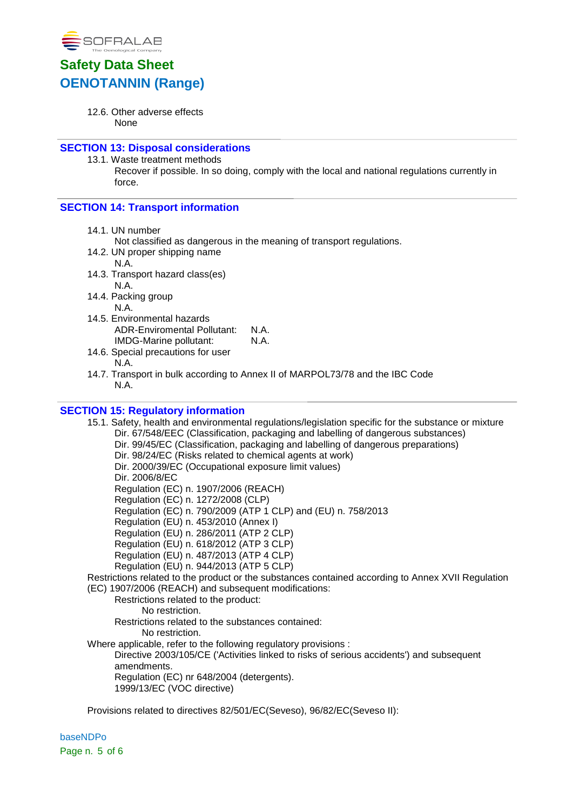

12.6. Other adverse effects None

### **SECTION 13: Disposal considerations**

13.1. Waste treatment methods Recover if possible. In so doing, comply with the local and national regulations currently in force.

### **SECTION 14: Transport information**

14.1. UN number

Not classified as dangerous in the meaning of transport regulations.

- 14.2. UN proper shipping name
- N.A.
- 14.3. Transport hazard class(es) N.A.
- 14.4. Packing group N.A.
- 14.5. Environmental hazards ADR-Enviromental Pollutant: N.A. IMDG-Marine pollutant: N.A.
- 14.6. Special precautions for user N.A.
- 14.7. Transport in bulk according to Annex II of MARPOL73/78 and the IBC Code N.A.

### **SECTION 15: Regulatory information**

15.1. Safety, health and environmental regulations/legislation specific for the substance or mixture Dir. 67/548/EEC (Classification, packaging and labelling of dangerous substances) Dir. 99/45/EC (Classification, packaging and labelling of dangerous preparations) Dir. 98/24/EC (Risks related to chemical agents at work) Dir. 2000/39/EC (Occupational exposure limit values) Dir. 2006/8/EC Regulation (EC) n. 1907/2006 (REACH) Regulation (EC) n. 1272/2008 (CLP) Regulation (EC) n. 790/2009 (ATP 1 CLP) and (EU) n. 758/2013 Regulation (EU) n. 453/2010 (Annex I) Regulation (EU) n. 286/2011 (ATP 2 CLP) Regulation (EU) n. 618/2012 (ATP 3 CLP) Regulation (EU) n. 487/2013 (ATP 4 CLP) Regulation (EU) n. 944/2013 (ATP 5 CLP) Restrictions related to the product or the substances contained according to Annex XVII Regulation (EC) 1907/2006 (REACH) and subsequent modifications: Restrictions related to the product: No restriction. Restrictions related to the substances contained: No restriction. Where applicable, refer to the following regulatory provisions : Directive 2003/105/CE ('Activities linked to risks of serious accidents') and subsequent amendments. Regulation (EC) nr 648/2004 (detergents). 1999/13/EC (VOC directive)

Provisions related to directives 82/501/EC(Seveso), 96/82/EC(Seveso II):

baseNDPo Page n. 5 of 6